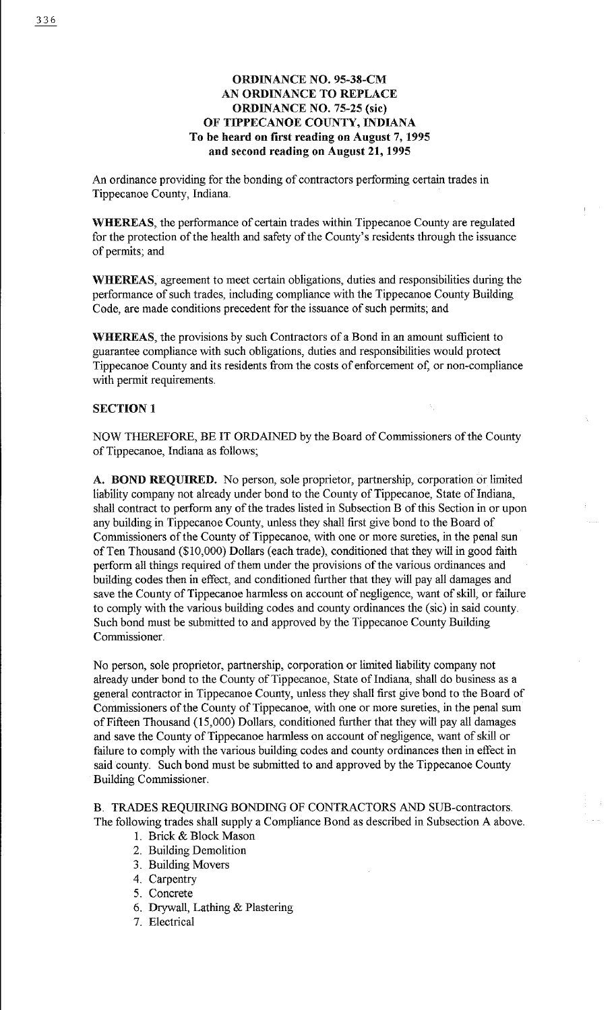## ORDINANCE NO. 95-38-CM AN ORDINANCE TO REPLACE ORDINANCE NO. 75-25 (sic) OF TIPPECANOE COUNTY, INDIANA To be heard on first reading on August 7, 1995 and second reading on August 21, 1995

An ordinance providing for the bonding of contractors performing certain trades in Tippecanoe County, Indiana.

WHEREAS, the performance of certain trades within Tippecanoe County are regulated for the protection of the health and safety of the County's residents through the issuance of permits; and

WHEREAS, agreement to meet certain obligations, duties and responsibilities during the performance of such trades, including compliance with the Tippecanoe County Building Code, are made conditions precedent for the issuance of such permits; and

WHEREAS, the provisions by such Contractors of a Bond in an amount sufficient to guarantee compliance with such obligations, duties and responsibilities would protect Tippecanoe County and its residents from the costs of enforcement of, or non-compliance with permit requirements.

### SECTION 1

NOW THEREFORE, BE IT ORDAINED by the Board of Commissioners of the County of Tippecanoe, Indiana as follows;

A. BOND REQUIRED. No person, sole proprietor, partnership, corporation or limited liability company not already under bond to the County of Tippecanoe, State of Indiana, shall contract to perform any of the trades listed in Subsection B of this Section in or upon any building in Tippecanoe County, unless they shall first give bond to the Board of Commissioners of the County of Tippecanoe, with one or more sureties, in the penal sun of Ten Thousand (\$10,000) Dollars (each trade), conditioned that they will in good faith perform all things required of them under the provisions of the various ordinances and building codes then in effect, and conditioned further that they will pay all damages and save the County of Tippecanoe harmless on account of negligence, want of skill, or failure to comply with the various building codes and county ordinances the (sic) in said county. Such bond must be submitted to and approved by the Tippecanoe County Building Commissioner.

No person, sole proprietor, partnership, corporation or limited liability company not already under bond to the County of Tippecanoe, State of Indiana, shall do business as a general contractor in Tippecanoe County, unless they shall first give bond to the Board of Commissioners of the County of Tippecanoe, with one or more sureties, in the penal sum of Fifteen Thousand (15,000) Dollars, conditioned further that they will pay all damages and save the County of Tippecanoe harmless on account of negligence, want of skill or failure to comply with the various building codes and county ordinances then in effect in said county. Such bond must be submitted to and approved by the Tippecanoe County Building Commissioner.

# B. TRADES REQUIRING BONDING OF CONTRACTORS AND SUB-contractors. The following trades shall supply a Compliance Bond as described in Subsection A above.

- I. Brick & Block Mason
- 2. Building Demolition
- 3. Building Movers
- 4. Carpentry
- 5. Concrete
- 6. Drywall, Lathing & Plastering
- 7. Electrical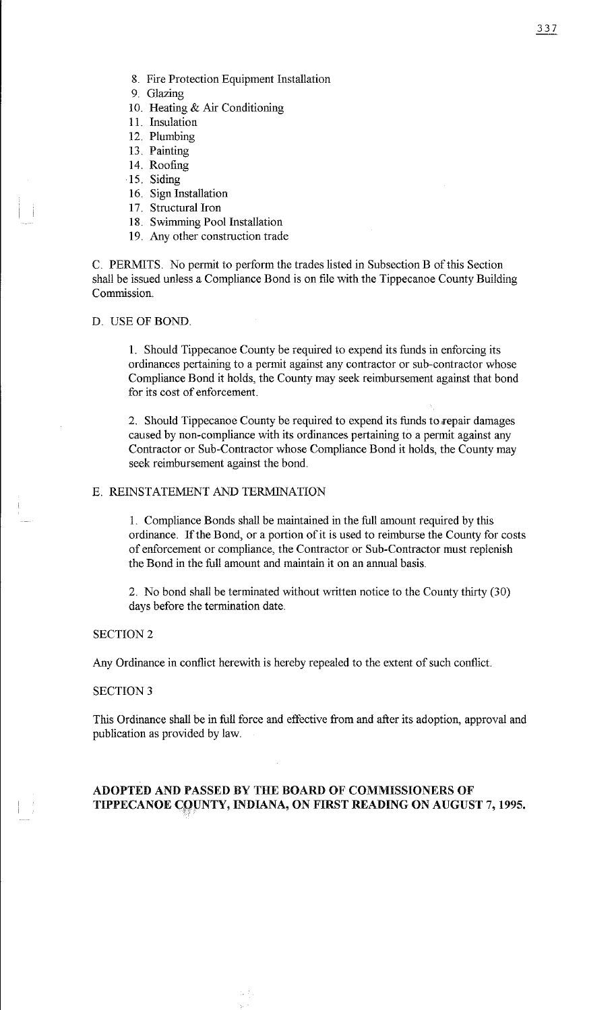- 9. Glazing
- 10. Heating & Air Conditioning
- 11. Insulation
- 12. Plumbing
- 13. Painting
- 14. Roofing
- 15. Siding
- 16. Sign Installation
- 17. Structural Iron
- 18. Swimming Pool Installation
- 19. Any other construction trade

C. PERMITS. No permit to perform the trades listed in Subsection B of this Section shall be issued unless a Compliance Bond is on file with the Tippecanoe County Building Commission.

### D. USE OF BOND.

1. Should Tippecanoe County be required to expend its funds in enforcing its ordinances pertaining to a permit against any contractor or sub-contractor whose Compliance Bond it holds, the County may seek reimbursement against that bond for its cost of enforcement.

2. Should Tippecanoe County be required to expend its funds to repair damages caused by non-compliance with its ordinances pertaining to a permit against any Contractor or Sub-Contractor whose Compliance Bond it holds, the County may seek reimbursement against the bond.

### E. REINSTATEMENT AND TERMINATION

1. Compliance Bonds shall be maintained in the full amount required by this ordinance. If the Bond, or a portion of it is used to reimburse the County for costs of enforcement or compliance, the Contractor or Sub-Contractor must replenish the Bond in the full amount and maintain it on an annual basis.

2. No bond shall be terminated without written notice to the County thirty (30) days before the termination date.

### SECTION<sub>2</sub>

Any Ordinance in conflict herewith is hereby repealed to the extent of such conflict.

#### SECTION<sub>3</sub>

This Ordinance shall be in full force and effective from and after its adoption, approval and publication as provided by law.

## ADOPTED AND PASSED BY THE BOARD OF COMMISSIONERS OF TIPPECANOE COUNTY, INDIANA, ON FIRST READING ON AUGUST 7, 1995.